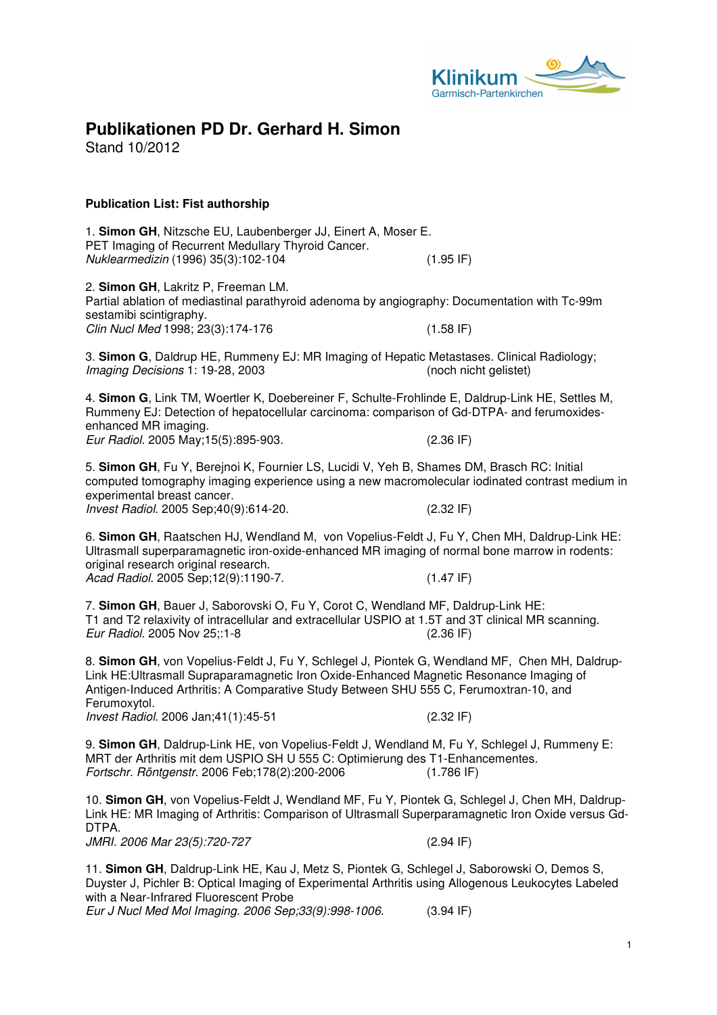

# **Publikationen PD Dr. Gerhard H. Simon**

Stand 10/2012

# **Publication List: Fist authorship**

1. **Simon GH**, Nitzsche EU, Laubenberger JJ, Einert A, Moser E. PET Imaging of Recurrent Medullary Thyroid Cancer. Nuklearmedizin (1996) 35(3):102-104 (1.95 IF)

2. **Simon GH**, Lakritz P, Freeman LM. Partial ablation of mediastinal parathyroid adenoma by angiography: Documentation with Tc-99m sestamibi scintigraphy. Clin Nucl Med 1998; 23(3):174-176 (1.58 IF)

3. **Simon G**, Daldrup HE, Rummeny EJ: MR Imaging of Hepatic Metastases. Clinical Radiology; Imaging Decisions 1: 19-28, 2003 (noch nicht gelistet)

4. **Simon G**, Link TM, Woertler K, Doebereiner F, Schulte-Frohlinde E, Daldrup-Link HE, Settles M, Rummeny EJ: Detection of hepatocellular carcinoma: comparison of Gd-DTPA- and ferumoxidesenhanced MR imaging. Eur Radiol. 2005 May;15(5):895-903. (2.36 IF)

5. **Simon GH**, Fu Y, Berejnoi K, Fournier LS, Lucidi V, Yeh B, Shames DM, Brasch RC: Initial computed tomography imaging experience using a new macromolecular iodinated contrast medium in experimental breast cancer. Invest Radiol. 2005 Sep;40(9):614-20. (2.32 IF)

6. **Simon GH**, Raatschen HJ, Wendland M, von Vopelius-Feldt J, Fu Y, Chen MH, Daldrup-Link HE: Ultrasmall superparamagnetic iron-oxide-enhanced MR imaging of normal bone marrow in rodents: original research original research. Acad Radiol. 2005 Sep;12(9):1190-7. (1.47 IF)

7. **Simon GH**, Bauer J, Saborovski O, Fu Y, Corot C, Wendland MF, Daldrup-Link HE: T1 and T2 relaxivity of intracellular and extracellular USPIO at 1.5T and 3T clinical MR scanning. Eur Radiol. 2005 Nov 25;:1-8 (2.36 IF)

8. **Simon GH**, von Vopelius-Feldt J, Fu Y, Schlegel J, Piontek G, Wendland MF, Chen MH, Daldrup-Link HE:Ultrasmall Supraparamagnetic Iron Oxide-Enhanced Magnetic Resonance Imaging of Antigen-Induced Arthritis: A Comparative Study Between SHU 555 C, Ferumoxtran-10, and Ferumoxytol. Invest Radiol. 2006 Jan;41(1):45-51 (2.32 IF)

9. **Simon GH**, Daldrup-Link HE, von Vopelius-Feldt J, Wendland M, Fu Y, Schlegel J, Rummeny E: MRT der Arthritis mit dem USPIO SH U 555 C: Optimierung des T1-Enhancementes.<br>Fortschr. Röntgenstr. 2006 Feb:178(2):200-2006 (1.786 IF) Fortschr. Röntgenstr. 2006 Feb:178(2):200-2006

10. **Simon GH**, von Vopelius-Feldt J, Wendland MF, Fu Y, Piontek G, Schlegel J, Chen MH, Daldrup-Link HE: MR Imaging of Arthritis: Comparison of Ultrasmall Superparamagnetic Iron Oxide versus Gd-DTPA.

JMRI. 2006 Mar 23(5):720-727 (2.94 IF)

11. **Simon GH**, Daldrup-Link HE, Kau J, Metz S, Piontek G, Schlegel J, Saborowski O, Demos S, Duyster J, Pichler B: Optical Imaging of Experimental Arthritis using Allogenous Leukocytes Labeled with a Near-Infrared Fluorescent Probe

Eur J Nucl Med Mol Imaging. 2006 Sep;33(9):998-1006. (3.94 IF)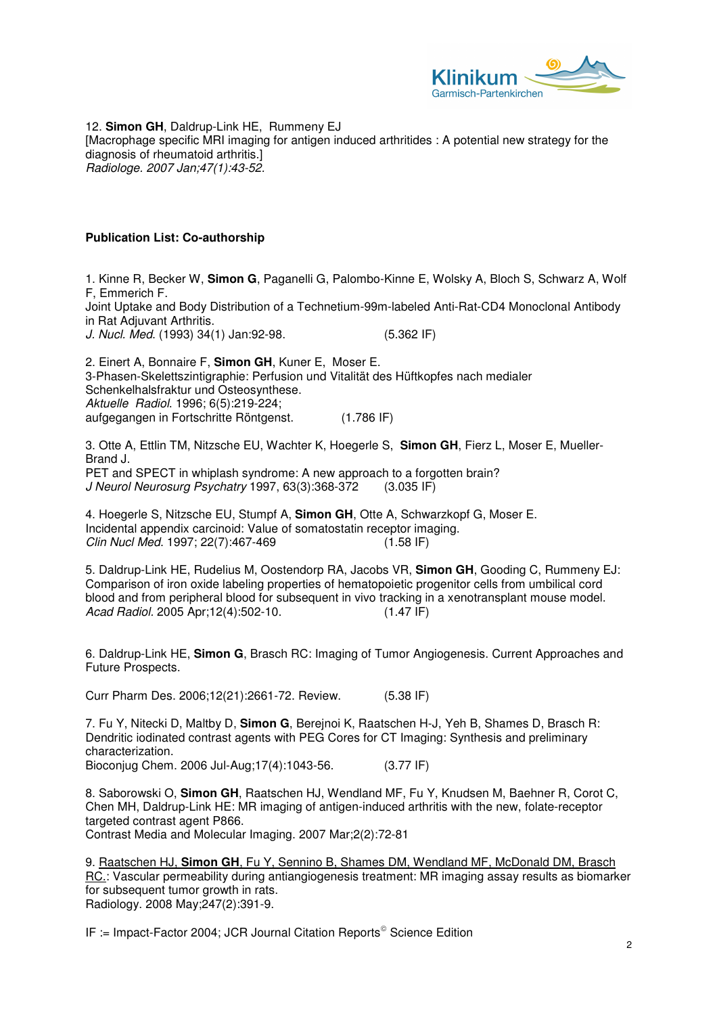

12. **Simon GH**, Daldrup-Link HE, Rummeny EJ [Macrophage specific MRI imaging for antigen induced arthritides : A potential new strategy for the diagnosis of rheumatoid arthritis.] Radiologe. 2007 Jan;47(1):43-52.

### **Publication List: Co-authorship**

1. Kinne R, Becker W, **Simon G**, Paganelli G, Palombo-Kinne E, Wolsky A, Bloch S, Schwarz A, Wolf F, Emmerich F.

Joint Uptake and Body Distribution of a Technetium-99m-labeled Anti-Rat-CD4 Monoclonal Antibody in Rat Adjuvant Arthritis.

J. Nucl. Med. (1993) 34(1) Jan:92-98. (5.362 IF)

2. Einert A, Bonnaire F, **Simon GH**, Kuner E, Moser E. 3-Phasen-Skelettszintigraphie: Perfusion und Vitalität des Hüftkopfes nach medialer Schenkelhalsfraktur und Osteosynthese. Aktuelle Radiol. 1996; 6(5):219-224; aufgegangen in Fortschritte Röntgenst. (1.786 IF)

3. Otte A, Ettlin TM, Nitzsche EU, Wachter K, Hoegerle S, **Simon GH**, Fierz L, Moser E, Mueller-Brand J. PET and SPECT in whiplash syndrome: A new approach to a forgotten brain? J Neurol Neurosurg Psychatry 1997, 63(3):368-372 (3.035 IF)

4. Hoegerle S, Nitzsche EU, Stumpf A, **Simon GH**, Otte A, Schwarzkopf G, Moser E. Incidental appendix carcinoid: Value of somatostatin receptor imaging. Clin Nucl Med. 1997; 22(7):467-469 (1.58 IF)

5. Daldrup-Link HE, Rudelius M, Oostendorp RA, Jacobs VR, **Simon GH**, Gooding C, Rummeny EJ: Comparison of iron oxide labeling properties of hematopoietic progenitor cells from umbilical cord blood and from peripheral blood for subsequent in vivo tracking in a xenotransplant mouse model. Acad Radiol. 2005 Apr;12(4):502-10. (1.47 IF)

6. Daldrup-Link HE, **Simon G**, Brasch RC: Imaging of Tumor Angiogenesis. Current Approaches and Future Prospects.

Curr Pharm Des. 2006;12(21):2661-72. Review. (5.38 IF)

7. Fu Y, Nitecki D, Maltby D, **Simon G**, Berejnoi K, Raatschen H-J, Yeh B, Shames D, Brasch R: Dendritic iodinated contrast agents with PEG Cores for CT Imaging: Synthesis and preliminary characterization. Bioconjug Chem. 2006 Jul-Aug;17(4):1043-56. (3.77 IF)

8. Saborowski O, **Simon GH**, Raatschen HJ, Wendland MF, Fu Y, Knudsen M, Baehner R, Corot C, Chen MH, Daldrup-Link HE: MR imaging of antigen-induced arthritis with the new, folate-receptor targeted contrast agent P866. Contrast Media and Molecular Imaging. 2007 Mar;2(2):72-81

9. Raatschen HJ, **Simon GH**, Fu Y, Sennino B, Shames DM, Wendland MF, McDonald DM, Brasch RC.: Vascular permeability during antiangiogenesis treatment: MR imaging assay results as biomarker for subsequent tumor growth in rats. Radiology. 2008 May;247(2):391-9.

IF := Impact-Factor 2004; JCR Journal Citation Reports<sup>©</sup> Science Edition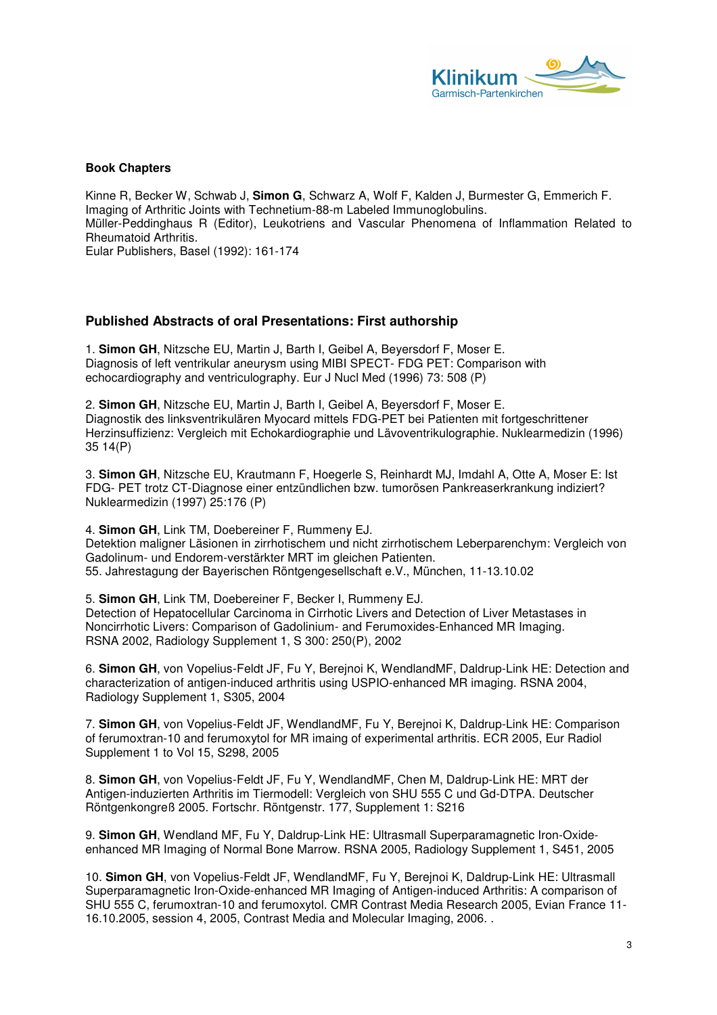

### **Book Chapters**

Kinne R, Becker W, Schwab J, **Simon G**, Schwarz A, Wolf F, Kalden J, Burmester G, Emmerich F. Imaging of Arthritic Joints with Technetium-88-m Labeled Immunoglobulins. Müller-Peddinghaus R (Editor), Leukotriens and Vascular Phenomena of Inflammation Related to Rheumatoid Arthritis. Eular Publishers, Basel (1992): 161-174

# **Published Abstracts of oral Presentations: First authorship**

1. **Simon GH**, Nitzsche EU, Martin J, Barth I, Geibel A, Beyersdorf F, Moser E. Diagnosis of left ventrikular aneurysm using MIBI SPECT- FDG PET: Comparison with echocardiography and ventriculography. Eur J Nucl Med (1996) 73: 508 (P)

2. **Simon GH**, Nitzsche EU, Martin J, Barth I, Geibel A, Beyersdorf F, Moser E. Diagnostik des linksventrikulären Myocard mittels FDG-PET bei Patienten mit fortgeschrittener Herzinsuffizienz: Vergleich mit Echokardiographie und Lävoventrikulographie. Nuklearmedizin (1996) 35 14(P)

3. **Simon GH**, Nitzsche EU, Krautmann F, Hoegerle S, Reinhardt MJ, Imdahl A, Otte A, Moser E: Ist FDG- PET trotz CT-Diagnose einer entzündlichen bzw. tumorösen Pankreaserkrankung indiziert? Nuklearmedizin (1997) 25:176 (P)

4. **Simon GH**, Link TM, Doebereiner F, Rummeny EJ. Detektion maligner Läsionen in zirrhotischem und nicht zirrhotischem Leberparenchym: Vergleich von Gadolinum- und Endorem-verstärkter MRT im gleichen Patienten. 55. Jahrestagung der Bayerischen Röntgengesellschaft e.V., München, 11-13.10.02

5. **Simon GH**, Link TM, Doebereiner F, Becker I, Rummeny EJ. Detection of Hepatocellular Carcinoma in Cirrhotic Livers and Detection of Liver Metastases in Noncirrhotic Livers: Comparison of Gadolinium- and Ferumoxides-Enhanced MR Imaging. RSNA 2002, Radiology Supplement 1, S 300: 250(P), 2002

6. **Simon GH**, von Vopelius-Feldt JF, Fu Y, Berejnoi K, WendlandMF, Daldrup-Link HE: Detection and characterization of antigen-induced arthritis using USPIO-enhanced MR imaging. RSNA 2004, Radiology Supplement 1, S305, 2004

7. **Simon GH**, von Vopelius-Feldt JF, WendlandMF, Fu Y, Berejnoi K, Daldrup-Link HE: Comparison of ferumoxtran-10 and ferumoxytol for MR imaing of experimental arthritis. ECR 2005, Eur Radiol Supplement 1 to Vol 15, S298, 2005

8. **Simon GH**, von Vopelius-Feldt JF, Fu Y, WendlandMF, Chen M, Daldrup-Link HE: MRT der Antigen-induzierten Arthritis im Tiermodell: Vergleich von SHU 555 C und Gd-DTPA. Deutscher Röntgenkongreß 2005. Fortschr. Röntgenstr. 177, Supplement 1: S216

9. **Simon GH**, Wendland MF, Fu Y, Daldrup-Link HE: Ultrasmall Superparamagnetic Iron-Oxideenhanced MR Imaging of Normal Bone Marrow. RSNA 2005, Radiology Supplement 1, S451, 2005

10. **Simon GH**, von Vopelius-Feldt JF, WendlandMF, Fu Y, Berejnoi K, Daldrup-Link HE: Ultrasmall Superparamagnetic Iron-Oxide-enhanced MR Imaging of Antigen-induced Arthritis: A comparison of SHU 555 C, ferumoxtran-10 and ferumoxytol. CMR Contrast Media Research 2005, Evian France 11- 16.10.2005, session 4, 2005, Contrast Media and Molecular Imaging, 2006. .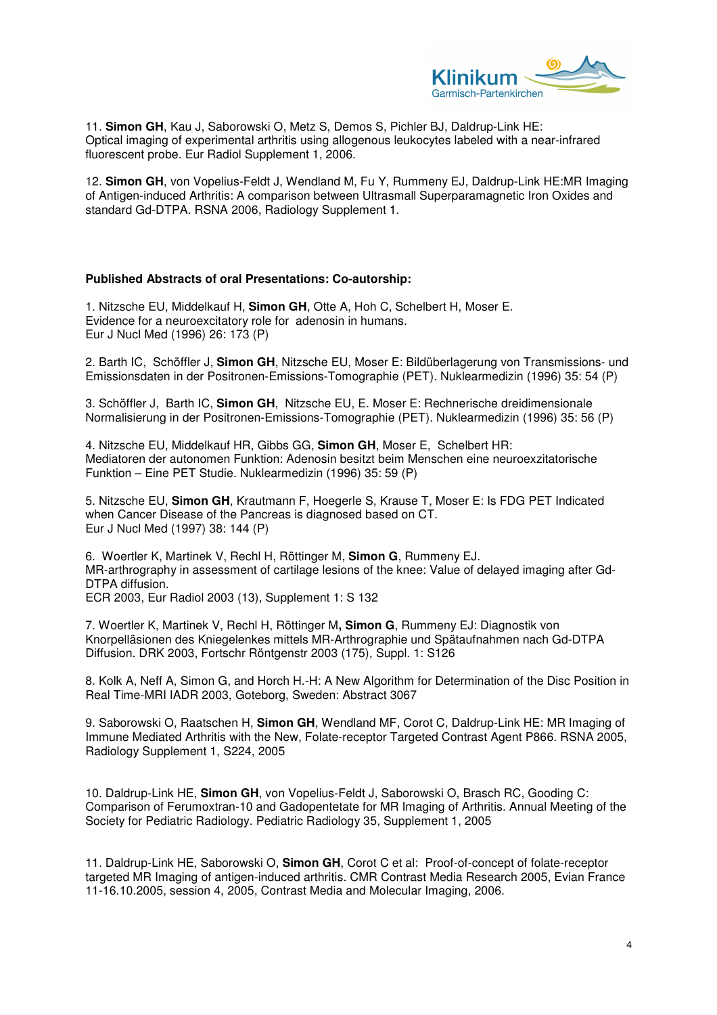

11. **Simon GH**, Kau J, Saborowski O, Metz S, Demos S, Pichler BJ, Daldrup-Link HE: Optical imaging of experimental arthritis using allogenous leukocytes labeled with a near-infrared fluorescent probe. Eur Radiol Supplement 1, 2006.

12. **Simon GH**, von Vopelius-Feldt J, Wendland M, Fu Y, Rummeny EJ, Daldrup-Link HE:MR Imaging of Antigen-induced Arthritis: A comparison between Ultrasmall Superparamagnetic Iron Oxides and standard Gd-DTPA. RSNA 2006, Radiology Supplement 1.

#### **Published Abstracts of oral Presentations: Co-autorship:**

1. Nitzsche EU, Middelkauf H, **Simon GH**, Otte A, Hoh C, Schelbert H, Moser E. Evidence for a neuroexcitatory role for adenosin in humans. Eur J Nucl Med (1996) 26: 173 (P)

2. Barth IC, Schöffler J, **Simon GH**, Nitzsche EU, Moser E: Bildüberlagerung von Transmissions- und Emissionsdaten in der Positronen-Emissions-Tomographie (PET). Nuklearmedizin (1996) 35: 54 (P)

3. Schöffler J, Barth IC, **Simon GH**, Nitzsche EU, E. Moser E: Rechnerische dreidimensionale Normalisierung in der Positronen-Emissions-Tomographie (PET). Nuklearmedizin (1996) 35: 56 (P)

4. Nitzsche EU, Middelkauf HR, Gibbs GG, **Simon GH**, Moser E, Schelbert HR: Mediatoren der autonomen Funktion: Adenosin besitzt beim Menschen eine neuroexzitatorische Funktion – Eine PET Studie. Nuklearmedizin (1996) 35: 59 (P)

5. Nitzsche EU, **Simon GH**, Krautmann F, Hoegerle S, Krause T, Moser E: Is FDG PET Indicated when Cancer Disease of the Pancreas is diagnosed based on CT. Eur J Nucl Med (1997) 38: 144 (P)

6. Woertler K, Martinek V, Rechl H, Röttinger M, **Simon G**, Rummeny EJ. MR-arthrography in assessment of cartilage lesions of the knee: Value of delayed imaging after Gd-DTPA diffusion. ECR 2003, Eur Radiol 2003 (13), Supplement 1: S 132

7. Woertler K, Martinek V, Rechl H, Röttinger M**, Simon G**, Rummeny EJ: Diagnostik von Knorpelläsionen des Kniegelenkes mittels MR-Arthrographie und Spätaufnahmen nach Gd-DTPA Diffusion. DRK 2003, Fortschr Röntgenstr 2003 (175), Suppl. 1: S126

8. Kolk A, Neff A, Simon G, and Horch H.-H: A New Algorithm for Determination of the Disc Position in Real Time-MRI IADR 2003, Goteborg, Sweden: Abstract 3067

9. Saborowski O, Raatschen H, **Simon GH**, Wendland MF, Corot C, Daldrup-Link HE: MR Imaging of Immune Mediated Arthritis with the New, Folate-receptor Targeted Contrast Agent P866. RSNA 2005, Radiology Supplement 1, S224, 2005

10. Daldrup-Link HE, **Simon GH**, von Vopelius-Feldt J, Saborowski O, Brasch RC, Gooding C: Comparison of Ferumoxtran-10 and Gadopentetate for MR Imaging of Arthritis. Annual Meeting of the Society for Pediatric Radiology. Pediatric Radiology 35, Supplement 1, 2005

11. Daldrup-Link HE, Saborowski O, **Simon GH**, Corot C et al: Proof-of-concept of folate-receptor targeted MR Imaging of antigen-induced arthritis. CMR Contrast Media Research 2005, Evian France 11-16.10.2005, session 4, 2005, Contrast Media and Molecular Imaging, 2006.